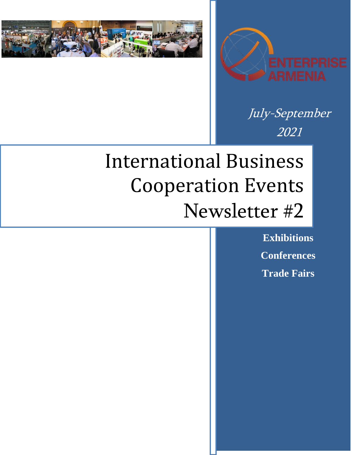



July-September 2021

# International Business Cooperation Events Newsletter #2

**Exhibitions Conferences Trade Fairs**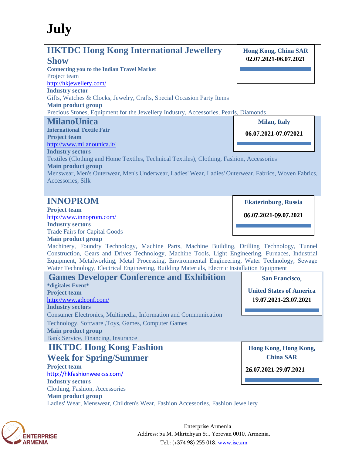## **July**

## **HKTDC Hong Kong International Jewellery**

### **Show**

**Connecting you to the Indian Travel Market** Project team <http://hkjewellery.com/> **Industry sector** Gifts, Watches & Clocks, Jewelry, Crafts, Special Occasion Party Items **Main product group** Precious Stones, Equipment for the Jewellery Industry, Accessories, Pearls, Diamonds **MilanoUnica International Textile Fair Project team** <http://www.milanounica.it/> **Industry sectors** Textiles (Clothing and Home Textiles, Technical Textiles), Clothing, Fashion, Accessories **Main product group Milan, Italy 06.07.2021-07.072021**

Menswear, Men's Outerwear, Men's Underwear, Ladies' Wear, Ladies' Outerwear, Fabrics, Woven Fabrics, Accessories, Silk

## **INNOPROM**

**Project team** <http://www.innoprom.com/> **Industry sectors**

Trade Fairs for Capital Goods

**Main product group**

Machinery, Foundry Technology, Machine Parts, Machine Building, Drilling Technology, Tunnel Construction, Gears and Drives Technology, Machine Tools, Light Engineering, Furnaces, Industrial Equipment, Metalworking, Metal Processing, Environmental Engineering, Water Technology, Sewage Water Technology, Electrical Engineering, Building Materials, Electric Installation Equipment



Ladies' Wear, Menswear, Children's Wear, Fashion Accessories, Fashion Jewellery



Enterprise Armenia Address: 5a M. Mkrtchyan St., Yerevan 0010, Armenia, Tel.: (+374 98) 255 018, [www.isc.am](http://www.isc.am/) 

**Hong Kong, China SAR 02.07.2021-06.07.2021**

**Ekaterinburg**, **Russia**

06**.0**7**.2021-**09**.0**7**.2021**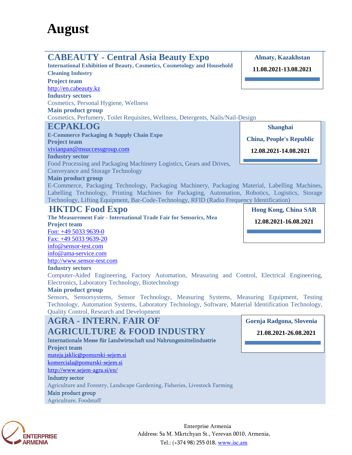## **CABEAUTY - Central Asia Beauty Expo**

**International Exhibition of Beauty, Cosmetics, Cosmetology and Household Cleaning Industry**

**Project team** [http://en.cabeauty.kz](http://en.cabeauty.kz/) **Industry sectors** Cosmetics, Personal Hygiene, Wellness **Main product group** Cosmetics, Perfumery, Toilet Requisites, Wellness, Detergents, Nails/Nail-Design

## **ECPAKLOG**

**E-Commerce Packaging & Supply Chain Expo Project team** [vivianpan@msuccessgroup.com](mailto:vivianpan@msuccessgroup.com) **Industry sector** Food Processing and Packaging Machinery Logistics, Gears and Drives, Conveyance and Storage Technology

#### **Main product group**

E-Commerce, Packaging Technology, Packaging Machinery, Packaging Material, Labelling Machines, Labelling Technology, Printing Machines for Packaging, Automation, Robotics, Logistics, Storage Technology, Lifting Equipment, Bar-Code-Technology, RFID (Radio Frequency Identification)

## **HKTDC Food Expo**

**The Measurement Fair - International Trade Fair for Sensorics, Mea Project team** Fon: +49 5033 9639-0

Fax: +49 5033 9639-20 info@sensor-test.com info@ama-service.com

http://www.sensor-test.com

#### **Industry sectors**

Computer-Aided Engineering, Factory Automation, Measuring and Control, Electrical Engineering, Electronics, Laboratory Technology, Biotechnology

#### **Main product group**

Sensors, Sensorsystems, Sensor Technology, Measuring Systems, Measuring Equipment, Testing Technology, Automation Systems, Laboratory Technology, Software, Material Identification Technology, Quality Control, Research and Development

## **AGRA - INTERN. FAIR OF**

## **AGRICULTURE & FOOD INDUSTRY**

Internationale Messe für Landwirtschaft und Nahrungsmittelindustrie **Project team** [mateja.jaklic@pomurski-sejem.si](mailto:mateja.jaklic@pomurski-sejem.si) [komerciala@pomurski-sejem.si](mailto:komerciala@pomurski-sejem.si) <http://www.sejem-agra.si/en/> Industry sector

Agriculture and Forestry, Landscape Gardening, Fisheries, Livestock Farming

Main product group

Agriculture, Foodstuff



Enterprise Armenia Address: 5a M. Mkrtchyan St., Yerevan 0010, Armenia, Tel.: (+374 98) 255 018, [www.isc.am](http://www.isc.am/) 

**Gornja Radgona, Slovenia 21.08.2021-26.08.2021**



**Hong Kong, China SAR**

**12.08.2021-16.08.2021**

**Shanghai**

**Almaty, Kazakhstan**

**11.08.2021-13.08.2021**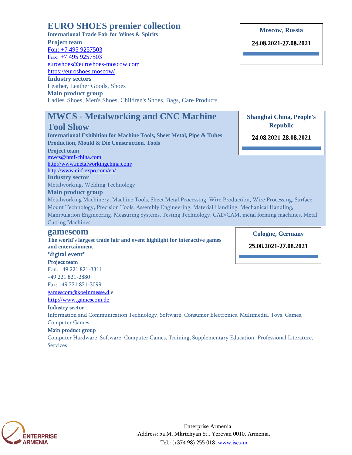## **EURO SHOES premier collection**

**International Trade Fair for Wines & Spirits Project team** Fon: +7 495 9257503 Fax: +7 495 9257503 euroshoes@euroshoes-moscow.com https://euroshoes.moscow/ **Industry sectors** Leather, Leather Goods, Shoes **Main product group** Ladies' Shoes, Men's Shoes, Children's Shoes, Bags, Care Products

## **MWCS - Metalworking and CNC Machine**

### **Tool Show**

**International Exhibition for Machine Tools, Sheet Metal, Pipe & Tubes Production, Mould & Die Construction, Tools Project team** [mwcs@hmf-china.com](mailto:mwcs@hmf-china.com) <http://www.metalworkingchina.com/> <http://www.ciif-expo.com/en/>

**Industry sector** Metalworking, Welding Technology

#### **Main product group**

Metalworking Machinery, Machine Tools, Sheet Metal Processing, Wire Production, Wire Processing, Surface Mount Technology, Precision Tools, Assembly Engineering, Material Handling, Mechanical Handling, Manipulation Engineering, Measuring Systems, Testing Technology, CAD/CAM, metal forming machines, Metal Cutting Machines

#### **gamescom**

**The world's largest trade fair and event highlight for interactive games and entertainment**

### \*digital event\*

Project team

Fon: +49 221 821-3311 +49 221 821-2880

Fax: +49 221 821-3099

[gamescom@koelnmesse.d](mailto:gamescom@koelnmesse.d) e [http://www.gamescom.de](http://www.gamescom.de/)

#### Industry sector

Information and Communication Technology, Software, Consumer Electronics, Multimedia, Toys, Games, Computer Games

#### Main product group

Computer Hardware, Software, Computer Games, Training, Supplementary Education, Professional Literature, Services



Enterprise Armenia Address: 5a M. Mkrtchyan St., Yerevan 0010, Armenia, Tel.: (+374 98) 255 018, [www.isc.am](http://www.isc.am/) 

**Moscow**, **Russia**

24**.0**8**.2021-**27**.0**8**.2021**

**Shanghai China, People's Republic**

24**.0**8**.2021-**28**.0**8**.2021**

**Cologne, Germany**

25**.08.2021-**27**.08.2021**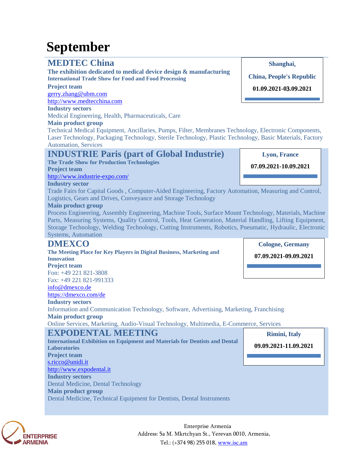## **September**

## **MEDTEC China**

**The exhibition dedicated to medical device design & manufacturing International Trade Show for Food and Food Processing**

#### **Project team**

[gerry.zhang@ubm.com](mailto:gerry.zhang@ubm.com) [http://www.medtecchina.com](http://www.medtecchina.com/)

## **Industry sectors**

Medical Engineering, Health, Pharmaceuticals, Care

#### **Main product group**

Technical Medical Equipment, Ancillaries, Pumps, Filter, Membranes Technology, Electronic Components, Laser Technology, Packaging Technology, Sterile Technology, Plastic Technology, Basic Materials, Factory Automation, Services

## **INDUSTRIE Paris (part of Global Industrie)**

**The Trade Show for Production Technologies Project team** <http://www.industrie-expo.com/>

## **Industry sector**

Trade Fairs for Capital Goods , Computer-Aided Engineering, Factory Automation, Measuring and Control, Logistics, Gears and Drives, Conveyance and Storage Technology

#### **Main product group**

Process Engineering, Assembly Engineering, Machine Tools, Surface Mount Technology, Materials, Machine Parts, Measuring Systems, Quality Control, Tools, Heat Generation, Material Handling, Lifting Equipment, Storage Technology, Welding Technology, Cutting Instruments, Robotics, Pneumatic, Hydraulic, Electronic Systems, Automation

## **DMEXCO**

#### **The Meeting Place for Key Players in Digital Business, Marketing and Innovation Project team**

Fon: +49 221 821-3808 Fax: +49 221 821-991333

#### [info@dmexco.de](mailto:info@dmexco.de)

<https://dmexco.com/de>

#### **Industry sectors**

Information and Communication Technology, Software, Advertising, Marketing, Franchising **Main product group**

Online Services, Marketing, Audio-Visual Technology, Multimedia, E-Commerce, Services

## **EXPODENTAL MEETING**

**International Exhibition on Equipment and Materials for Dentists and Dental Laboratories Project team** [s.ricco@unidi.it](mailto:s.ricco@unidi.it) [http://www.expodental.it](http://www.expodental.it/) **Industry sectors** Dental Medicine, Dental Technology **Main product group** Dental Medicine, Technical Equipment for Dentists, Dental Instruments

**Rimini, Italy**

**09.09.2021-11.09.2021**



Enterprise Armenia Address: 5a M. Mkrtchyan St., Yerevan 0010, Armenia, Tel.: (+374 98) 255 018, [www.isc.am](http://www.isc.am/) 

**Shanghai**,

**China, People's Republic 01.0**9**.2021-0**3**.0**9**.2021**

**Lyon, France**

**07.09.2021-10.09.2021**

**Cologne, Germany**

**07.09.2021-09.09.2021**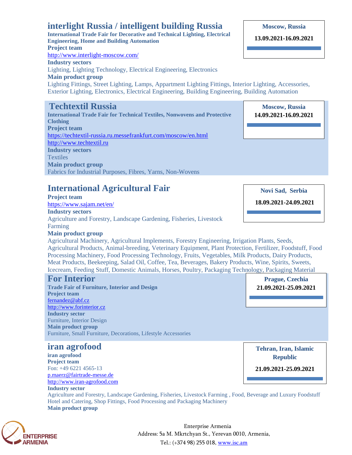## **interlight Russia / intelligent building Russia**

**International Trade Fair for Decorative and Technical Lighting, Electrical Engineering, Home and Building Automation Project team** <http://www.interlight-moscow.com/> **Industry sectors** Lighting, Lighting Technology, Electrical Engineering, Electronics **Main product group** Lighting Fittings, Street Lighting, Lamps, Appartment Lighting Fittings, Interior Lighting, Accessories, Exterior Lighting, Electronics, Electrical Engineering, Building Engineering, Building Automation **Techtextil Russia**

**International Trade Fair for Technical Textiles, Nonwovens and Protective Clothing Project team** <https://techtextil-russia.ru.messefrankfurt.com/moscow/en.html> [http://www.techtextil.ru](http://www.techtextil.ru/)  **Industry sectors Textiles Main product group** Fabrics for Industrial Purposes, Fibres, Yarns, Non-Wovens

## **International Agricultural Fair**

#### **Project team**

<https://www.sajam.net/en/>

#### **Industry sectors**

Agriculture and Forestry, Landscape Gardening, Fisheries, Livestock Farming **Main product group**



**18.09.2021-24.09.2021**

Agricultural Machinery, Agricultural Implements, Forestry Engineering, Irrigation Plants, Seeds, Agricultural Products, Animal-breeding, Veterinary Equipment, Plant Protection, Fertilizer, Foodstuff, Food Processing Machinery, Food Processing Technology, Fruits, Vegetables, Milk Products, Dairy Products, Meat Products, Beekeeping, Salad Oil, Coffee, Tea, Beverages, Bakery Products, Wine, Spirits, Sweets, Icecream, Feeding Stuff, Domestic Animals, Horses, Poultry, Packaging Technology, Packaging Material

## **For Interior**

**Trade Fair of Furniture, Interior and Design Project team** [fernandez@abf.cz](mailto:fernandez@abf.cz) [http://www.forinterior.cz](http://www.forinterior.cz/) **Industry sector** Furniture, Interior Design **Main product group** Furniture, Small Furniture, Decorations, Lifestyle Accessories

## **iran agrofood**

**iran agrofood Project team** Fon: +49 6221 4565-13 [p.maerz@fairtrade-messe.de](mailto:p.maerz@fairtrade-messe.de) [http://www.iran-agrofood.com](http://www.iran-agrofood.com/)

**Industry sector**

**Tehran, Iran, Islamic Republic**

**Prague, Czechia 21.09.2021-25.09.2021**

**21.09.2021-25.09.2021**

Agriculture and Forestry, Landscape Gardening, Fisheries, Livestock Farming , Food, Beverage and Luxury Foodstuff Hotel and Catering, Shop Fittings, Food Processing and Packaging Machinery **Main product group**



Enterprise Armenia Address: 5a M. Mkrtchyan St., Yerevan 0010, Armenia, Tel.: (+374 98) 255 018, [www.isc.am](http://www.isc.am/) 

#### **Moscow, Russia**

**13.09.2021-16.09.2021**

**Moscow, Russia 19.11.2020-21.11.2020 Moscow, Russia 14.09.2021-16.09.2021**